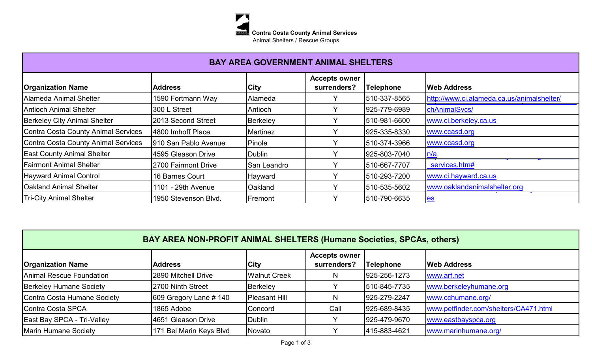

| <b>BAY AREA GOVERNMENT ANIMAL SHELTERS</b> |                       |                 |                                     |                  |                                            |  |  |
|--------------------------------------------|-----------------------|-----------------|-------------------------------------|------------------|--------------------------------------------|--|--|
| <b>Organization Name</b>                   | <b>Address</b>        | <b>City</b>     | <b>Accepts owner</b><br>surrenders? | <b>Telephone</b> | <b>Web Address</b>                         |  |  |
| Alameda Animal Shelter                     | 1590 Fortmann Way     | Alameda         | v                                   | 510-337-8565     | http://www.ci.alameda.ca.us/animalshelter/ |  |  |
| Antioch Animal Shelter                     | 300 L Street          | Antioch         | Y                                   | 925-779-6989     | chAnimalSvcs/                              |  |  |
| <b>Berkeley City Animal Shelter</b>        | 2013 Second Street    | Berkeley        | $\checkmark$                        | 510-981-6600     | www.ci.berkeley.ca.us                      |  |  |
| Contra Costa County Animal Services        | 4800 Imhoff Place     | <b>Martinez</b> | Υ                                   | 925-335-8330     | www.ccasd.org                              |  |  |
| Contra Costa County Animal Services        | 1910 San Pablo Avenue | Pinole          | Y                                   | 510-374-3966     | www.ccasd.org                              |  |  |
| <b>East County Animal Shelter</b>          | 4595 Gleason Drive    | Dublin          |                                     | 925-803-7040     | n/a                                        |  |  |
| <b>Fairmont Animal Shelter</b>             | 2700 Fairmont Drive   | San Leandro     | Y                                   | 510-667-7707     | services.htm#                              |  |  |
| <b>Hayward Animal Control</b>              | 16 Barnes Court       | Hayward         | $\checkmark$                        | 510-293-7200     | www.ci.hayward.ca.us                       |  |  |
| <b>Oakland Animal Shelter</b>              | 1101 - 29th Avenue    | Oakland         | Y                                   | 510-535-5602     | www.oaklandanimalshelter.org               |  |  |
| <b>Tri-City Animal Shelter</b>             | 1950 Stevenson Blvd.  | Fremont         | $\checkmark$                        | 510-790-6635     | <u>les</u>                                 |  |  |

| BAY AREA NON-PROFIT ANIMAL SHELTERS (Humane Societies, SPCAs, others) |                          |                      |                                     |                  |                                       |  |  |
|-----------------------------------------------------------------------|--------------------------|----------------------|-------------------------------------|------------------|---------------------------------------|--|--|
| <b>Organization Name</b>                                              | <b>Address</b>           | <b>City</b>          | <b>Accepts owner</b><br>surrenders? | <b>Telephone</b> | <b>Web Address</b>                    |  |  |
| Animal Rescue Foundation                                              | 2890 Mitchell Drive      | <b>Walnut Creek</b>  | N                                   | 925-256-1273     | www.arf.net                           |  |  |
| <b>Berkeley Humane Society</b>                                        | 2700 Ninth Street        | Berkeley             |                                     | 510-845-7735     | www.berkeleyhumane.org                |  |  |
| Contra Costa Humane Society                                           | $609$ Gregory Lane # 140 | <b>Pleasant Hill</b> | N                                   | 925-279-2247     | www.cchumane.org/                     |  |  |
| Contra Costa SPCA                                                     | 1865 Adobe               | Concord              | Call                                | 925-689-8435     | www.petfinder.com/shelters/CA471.html |  |  |
| <b>East Bay SPCA - Tri-Valley</b>                                     | 4651 Gleason Drive       | Dublin               |                                     | 925-479-9670     | www.eastbayspca.org                   |  |  |
| Marin Humane Society                                                  | 171 Bel Marin Keys Blvd  | Novato               |                                     | 415-883-4621     | www.marinhumane.org/                  |  |  |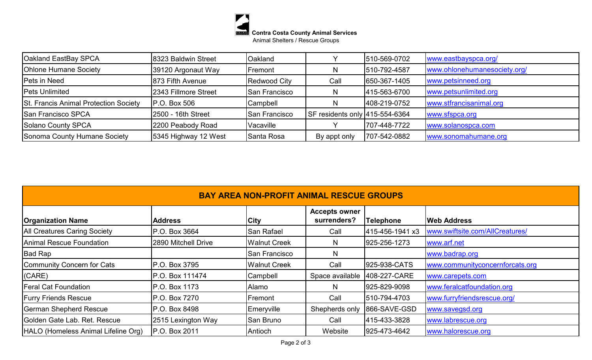

| <b>Oakland EastBay SPCA</b>           | 8323 Baldwin Street  | Oakland              |                                | 510-569-0702 | www.eastbayspca.org/         |
|---------------------------------------|----------------------|----------------------|--------------------------------|--------------|------------------------------|
| <b>Ohlone Humane Society</b>          | 39120 Argonaut Way   | Fremont              | N                              | 510-792-4587 | www.ohlonehumanesociety.org/ |
| Pets in Need                          | 873 Fifth Avenue     | Redwood City         | Call                           | 650-367-1405 | www.petsinneed.org           |
| <b>Pets Unlimited</b>                 | 2343 Fillmore Street | San Francisco        | N                              | 415-563-6700 | www.petsunlimited.org        |
| St. Francis Animal Protection Society | $P.O.$ Box 506       | Campbell             | N                              | 408-219-0752 | www.stfrancisanimal.org      |
| <b>San Francisco SPCA</b>             | 2500 - 16th Street   | <b>San Francisco</b> | SF residents only 415-554-6364 |              | www.sfspca.org               |
| Solano County SPCA                    | 2200 Peabody Road    | <b>Vacaville</b>     |                                | 707-448-7722 | www.solanospca.com           |
| Sonoma County Humane Society          | 5345 Highway 12 West | Santa Rosa           | By appt only                   | 707-542-0882 | www.sonomahumane.org         |

| <b>BAY AREA NON-PROFIT ANIMAL RESCUE GROUPS</b> |                     |                      |                                     |                  |                                 |  |  |
|-------------------------------------------------|---------------------|----------------------|-------------------------------------|------------------|---------------------------------|--|--|
| <b>Organization Name</b>                        | <b>Address</b>      | <b>City</b>          | <b>Accepts owner</b><br>surrenders? | <b>Telephone</b> | <b>Web Address</b>              |  |  |
| <b>All Creatures Caring Society</b>             | P.O. Box 3664       | <b>San Rafael</b>    | Call                                | 415-456-1941 x3  | www.swiftsite.com/AllCreatures/ |  |  |
| Animal Rescue Foundation                        | 2890 Mitchell Drive | <b>Walnut Creek</b>  | N.                                  | 925-256-1273     | www.arf.net                     |  |  |
| <b>Bad Rap</b>                                  |                     | <b>San Francisco</b> | N                                   |                  | www.badrap.org                  |  |  |
| Community Concern for Cats                      | P.O. Box 3795       | <b>Walnut Creek</b>  | Call                                | 925-938-CATS     | www.communityconcernforcats.org |  |  |
| (CARE)                                          | P.O. Box 111474     | Campbell             | Space available                     | 408-227-CARE     | www.carepets.com                |  |  |
| <b>Feral Cat Foundation</b>                     | P.O. Box 1173       | <b>Alamo</b>         | N                                   | 925-829-9098     | www.feralcatfoundation.org      |  |  |
| <b>Furry Friends Rescue</b>                     | P.O. Box 7270       | Fremont              | Call                                | 510-794-4703     | www.furryfriendsrescue.org/     |  |  |
| German Shepherd Rescue                          | P.O. Box 8498       | Emeryville           | Shepherds only                      | 866-SAVE-GSD     | www.savegsd.org                 |  |  |
| Golden Gate Lab. Ret. Rescue                    | 2515 Lexington Way  | San Bruno            | Call                                | 415-433-3828     | www.labrescue.org               |  |  |
| HALO (Homeless Animal Lifeline Org)             | P.O. Box 2011       | Antioch              | Website                             | 925-473-4642     | www.halorescue.org              |  |  |